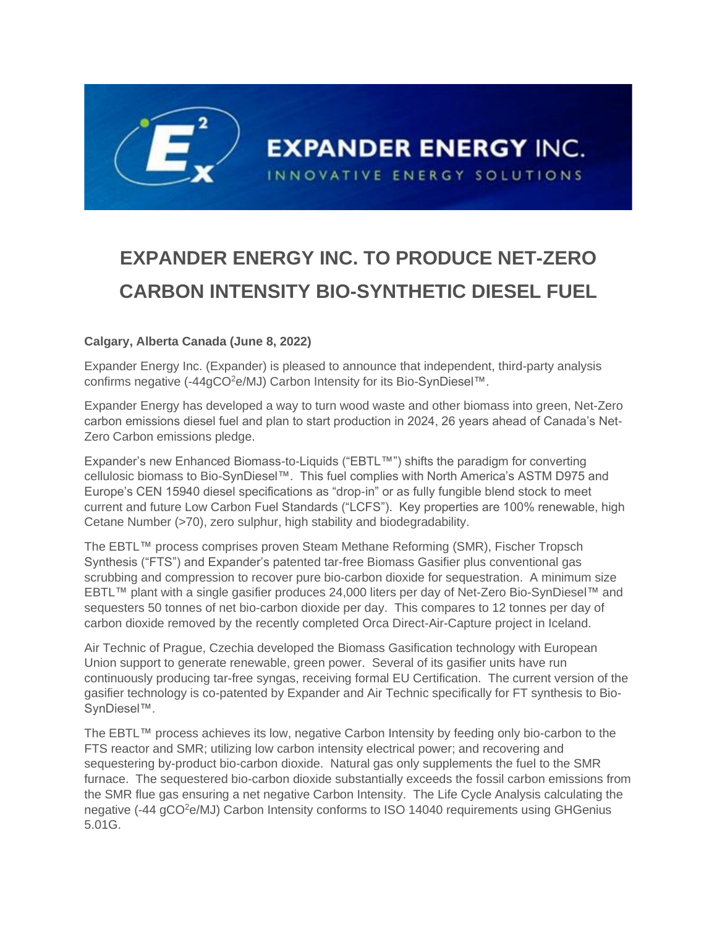## **EXPANDER ENERGY INC. TO PRODUCE NET-ZERO CARBON INTENSITY BIO-SYNTHETIC DIESEL FUEL**

## **Calgary, Alberta Canada (June 8, 2022)**

Expander Energy Inc. (Expander) is pleased to announce that independent, third-party analysis confirms negative (-44gCO<sup>2</sup>e/MJ) Carbon Intensity for its Bio-SynDiesel™.

Expander Energy has developed a way to turn wood waste and other biomass into green, Net-Zero carbon emissions diesel fuel and plan to start production in 2024, 26 years ahead of Canada's Net-Zero Carbon emissions pledge.

Expander's new Enhanced Biomass-to-Liquids ("EBTL™") shifts the paradigm for converting cellulosic biomass to Bio-SynDiesel™. This fuel complies with North America's ASTM D975 and Europe's CEN 15940 diesel specifications as "drop-in" or as fully fungible blend stock to meet current and future Low Carbon Fuel Standards ("LCFS"). Key properties are 100% renewable, high Cetane Number (>70), zero sulphur, high stability and biodegradability.

The EBTL™ process comprises proven Steam Methane Reforming (SMR), Fischer Tropsch Synthesis ("FTS") and Expander's patented tar-free Biomass Gasifier plus conventional gas scrubbing and compression to recover pure bio-carbon dioxide for sequestration. A minimum size EBTL™ plant with a single gasifier produces 24,000 liters per day of Net-Zero Bio-SynDiesel™ and sequesters 50 tonnes of net bio-carbon dioxide per day. This compares to 12 tonnes per day of carbon dioxide removed by the recently completed Orca Direct-Air-Capture project in Iceland.

Air Technic of Prague, Czechia developed the Biomass Gasification technology with European Union support to generate renewable, green power. Several of its gasifier units have run continuously producing tar-free syngas, receiving formal EU Certification. The current version of the gasifier technology is co-patented by Expander and Air Technic specifically for FT synthesis to Bio-SynDiesel™.

The EBTL™ process achieves its low, negative Carbon Intensity by feeding only bio-carbon to the FTS reactor and SMR; utilizing low carbon intensity electrical power; and recovering and sequestering by-product bio-carbon dioxide. Natural gas only supplements the fuel to the SMR furnace. The sequestered bio-carbon dioxide substantially exceeds the fossil carbon emissions from the SMR flue gas ensuring a net negative Carbon Intensity. The Life Cycle Analysis calculating the negative (-44 gCO<sup>2</sup>e/MJ) Carbon Intensity conforms to ISO 14040 requirements using GHGenius 5.01G.